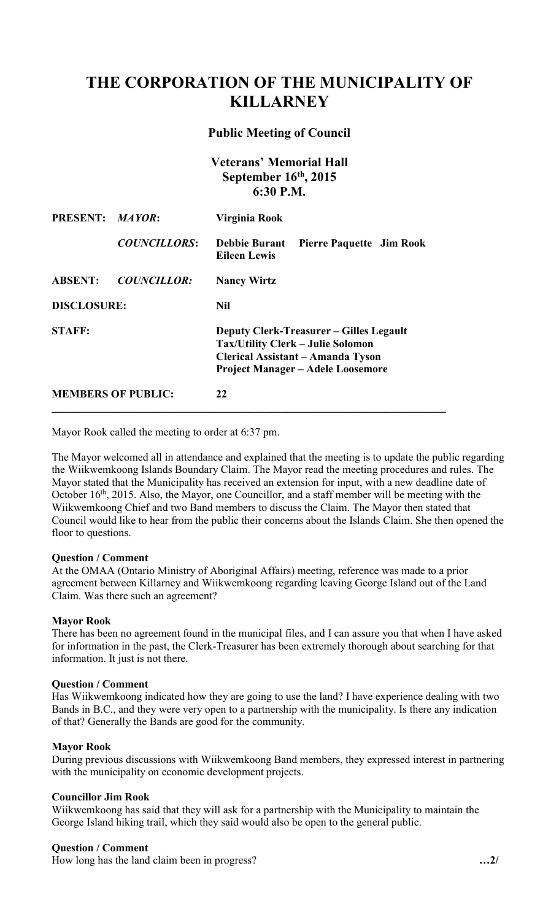# **THE CORPORATION OF THE MUNICIPALITY OF KILLARNEY**

# **Public Meeting of Council**

**Veterans' Memorial Hall September 16th, 2015 6:30 P.M.** 

| PRESENT: MAYOR:           |                     | Virginia Rook                                                                                                                                                               |
|---------------------------|---------------------|-----------------------------------------------------------------------------------------------------------------------------------------------------------------------------|
|                           | <b>COUNCILLORS:</b> | <b>Debbie Burant</b><br><b>Pierre Paquette Jim Rook</b><br><b>Eileen Lewis</b>                                                                                              |
| <b>ABSENT:</b>            | <b>COUNCILLOR:</b>  | <b>Nancy Wirtz</b>                                                                                                                                                          |
| <b>DISCLOSURE:</b>        |                     | <b>Nil</b>                                                                                                                                                                  |
| <b>STAFF:</b>             |                     | <b>Deputy Clerk-Treasurer – Gilles Legault</b><br><b>Tax/Utility Clerk – Julie Solomon</b><br>Clerical Assistant – Amanda Tyson<br><b>Project Manager – Adele Loosemore</b> |
| <b>MEMBERS OF PUBLIC:</b> |                     | 22                                                                                                                                                                          |

Mayor Rook called the meeting to order at 6:37 pm.

The Mayor welcomed all in attendance and explained that the meeting is to update the public regarding the Wiikwemkoong Islands Boundary Claim. The Mayor read the meeting procedures and rules. The Mayor stated that the Municipality has received an extension for input, with a new deadline date of October 16<sup>th</sup>, 2015. Also, the Mayor, one Councillor, and a staff member will be meeting with the Wiikwemkoong Chief and two Band members to discuss the Claim. The Mayor then stated that Council would like to hear from the public their concerns about the Islands Claim. She then opened the floor to questions.

## **Question / Comment**

At the OMAA (Ontario Ministry of Aboriginal Affairs) meeting, reference was made to a prior agreement between Killarney and Wiikwemkoong regarding leaving George Island out of the Land Claim. Was there such an agreement?

## **Mayor Rook**

 for information in the past, the Clerk-Treasurer has been extremely thorough about searching for that There has been no agreement found in the municipal files, and I can assure you that when I have asked information. It just is not there.

# **Question / Comment**

 Has Wiikwemkoong indicated how they are going to use the land? I have experience dealing with two Bands in B.C., and they were very open to a partnership with the municipality. Is there any indication of that? Generally the Bands are good for the community.

## **Mayor Rook**

During previous discussions with Wiikwemkoong Band members, they expressed interest in partnering with the municipality on economic development projects.

## **Councillor Jim Rook**

Wiikwemkoong has said that they will ask for a partnership with the Municipality to maintain the George Island hiking trail, which they said would also be open to the general public.

## **Question / Comment**

How long has the land claim been in progress? **…2/**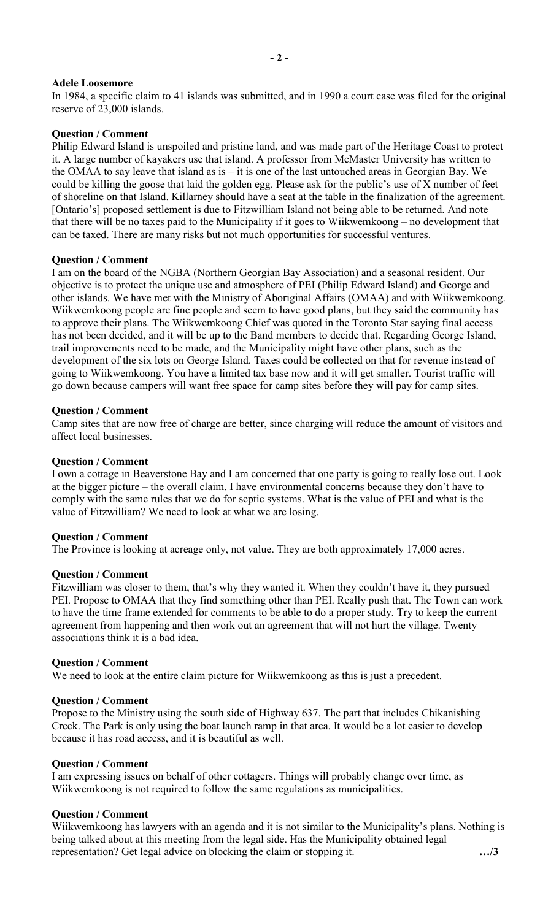# **Adele Loosemore**

In 1984, a specific claim to 41 islands was submitted, and in 1990 a court case was filed for the original reserve of 23,000 islands.

# **Question / Comment**

Philip Edward Island is unspoiled and pristine land, and was made part of the Heritage Coast to protect it. A large number of kayakers use that island. A professor from McMaster University has written to the OMAA to say leave that island as is – it is one of the last untouched areas in Georgian Bay. We could be killing the goose that laid the golden egg. Please ask for the public's use of X number of feet of shoreline on that Island. Killarney should have a seat at the table in the finalization of the agreement. [Ontario's] proposed settlement is due to Fitzwilliam Island not being able to be returned. And note that there will be no taxes paid to the Municipality if it goes to Wiikwemkoong – no development that can be taxed. There are many risks but not much opportunities for successful ventures.

## **Question / Comment**

 objective is to protect the unique use and atmosphere of PEI (Philip Edward Island) and George and I am on the board of the NGBA (Northern Georgian Bay Association) and a seasonal resident. Our other islands. We have met with the Ministry of Aboriginal Affairs (OMAA) and with Wiikwemkoong. Wiikwemkoong people are fine people and seem to have good plans, but they said the community has to approve their plans. The Wiikwemkoong Chief was quoted in the Toronto Star saying final access has not been decided, and it will be up to the Band members to decide that. Regarding George Island, trail improvements need to be made, and the Municipality might have other plans, such as the development of the six lots on George Island. Taxes could be collected on that for revenue instead of going to Wiikwemkoong. You have a limited tax base now and it will get smaller. Tourist traffic will go down because campers will want free space for camp sites before they will pay for camp sites.

## **Question / Comment**

Camp sites that are now free of charge are better, since charging will reduce the amount of visitors and affect local businesses.

## **Question / Comment**

 I own a cottage in Beaverstone Bay and I am concerned that one party is going to really lose out. Look at the bigger picture – the overall claim. I have environmental concerns because they don't have to comply with the same rules that we do for septic systems. What is the value of PEI and what is the value of Fitzwilliam? We need to look at what we are losing.

## **Question / Comment**

The Province is looking at acreage only, not value. They are both approximately 17,000 acres.

## **Question / Comment**

Fitzwilliam was closer to them, that's why they wanted it. When they couldn't have it, they pursued PEI. Propose to OMAA that they find something other than PEI. Really push that. The Town can work to have the time frame extended for comments to be able to do a proper study. Try to keep the current agreement from happening and then work out an agreement that will not hurt the village. Twenty associations think it is a bad idea.

## **Question / Comment**

We need to look at the entire claim picture for Wiikwemkoong as this is just a precedent.

## **Question / Comment**

Propose to the Ministry using the south side of Highway 637. The part that includes Chikanishing Creek. The Park is only using the boat launch ramp in that area. It would be a lot easier to develop because it has road access, and it is beautiful as well.

## **Question / Comment**

I am expressing issues on behalf of other cottagers. Things will probably change over time, as Wiikwemkoong is not required to follow the same regulations as municipalities.

# **Question / Comment**

Wiikwemkoong has lawyers with an agenda and it is not similar to the Municipality's plans. Nothing is being talked about at this meeting from the legal side. Has the Municipality obtained legal representation? Get legal advice on blocking the claim or stopping it. **…/3**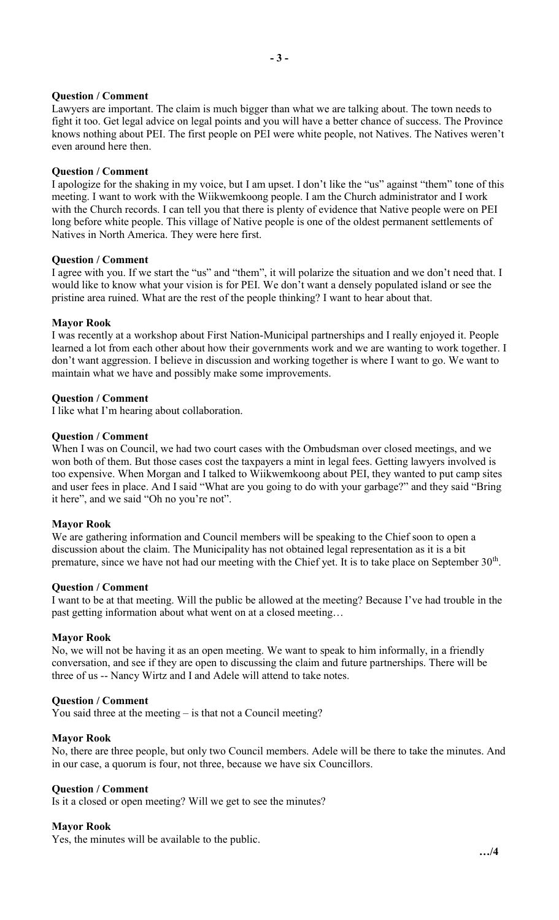# **Question / Comment**

Lawyers are important. The claim is much bigger than what we are talking about. The town needs to fight it too. Get legal advice on legal points and you will have a better chance of success. The Province knows nothing about PEI. The first people on PEI were white people, not Natives. The Natives weren't even around here then.

## **Question / Comment**

I apologize for the shaking in my voice, but I am upset. I don't like the "us" against "them" tone of this meeting. I want to work with the Wiikwemkoong people. I am the Church administrator and I work with the Church records. I can tell you that there is plenty of evidence that Native people were on PEI long before white people. This village of Native people is one of the oldest permanent settlements of Natives in North America. They were here first.

## **Question / Comment**

I agree with you. If we start the "us" and "them", it will polarize the situation and we don't need that. I would like to know what your vision is for PEI. We don't want a densely populated island or see the pristine area ruined. What are the rest of the people thinking? I want to hear about that.

# **Mayor Rook**

I was recently at a workshop about First Nation-Municipal partnerships and I really enjoyed it. People learned a lot from each other about how their governments work and we are wanting to work together. I don't want aggression. I believe in discussion and working together is where I want to go. We want to maintain what we have and possibly make some improvements.

# **Question / Comment**

I like what I'm hearing about collaboration.

## **Question / Comment**

When I was on Council, we had two court cases with the Ombudsman over closed meetings, and we won both of them. But those cases cost the taxpayers a mint in legal fees. Getting lawyers involved is too expensive. When Morgan and I talked to Wiikwemkoong about PEI, they wanted to put camp sites and user fees in place. And I said "What are you going to do with your garbage?" and they said "Bring it here", and we said "Oh no you're not".

## **Mayor Rook**

We are gathering information and Council members will be speaking to the Chief soon to open a discussion about the claim. The Municipality has not obtained legal representation as it is a bit premature, since we have not had our meeting with the Chief yet. It is to take place on September 30<sup>th</sup>.

## **Question / Comment**

I want to be at that meeting. Will the public be allowed at the meeting? Because I've had trouble in the past getting information about what went on at a closed meeting…

## **Mayor Rook**

No, we will not be having it as an open meeting. We want to speak to him informally, in a friendly conversation, and see if they are open to discussing the claim and future partnerships. There will be three of us -- Nancy Wirtz and I and Adele will attend to take notes.

## **Question / Comment**

You said three at the meeting – is that not a Council meeting?

## **Mayor Rook**

No, there are three people, but only two Council members. Adele will be there to take the minutes. And in our case, a quorum is four, not three, because we have six Councillors.

## **Question / Comment**

Is it a closed or open meeting? Will we get to see the minutes?

## **Mayor Rook**

Yes, the minutes will be available to the public.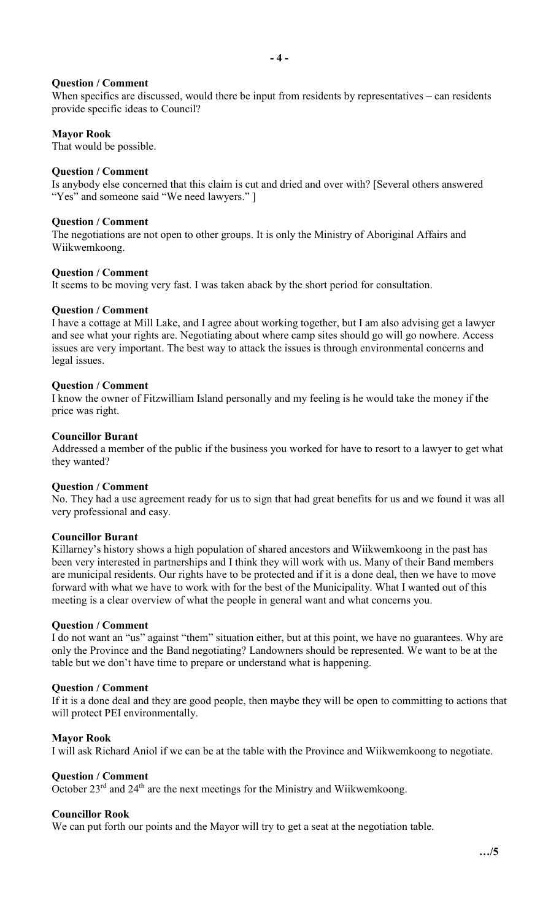# **Question / Comment**

When specifics are discussed, would there be input from residents by representatives – can residents provide specific ideas to Council?

# **Mayor Rook**

That would be possible.

## **Question / Comment**

Is anybody else concerned that this claim is cut and dried and over with? [Several others answered "Yes" and someone said "We need lawyers." ]

## **Question / Comment**

The negotiations are not open to other groups. It is only the Ministry of Aboriginal Affairs and Wiikwemkoong.

## **Question / Comment**

It seems to be moving very fast. I was taken aback by the short period for consultation.

## **Question / Comment**

 I have a cottage at Mill Lake, and I agree about working together, but I am also advising get a lawyer and see what your rights are. Negotiating about where camp sites should go will go nowhere. Access issues are very important. The best way to attack the issues is through environmental concerns and legal issues.

#### **Question / Comment**

I know the owner of Fitzwilliam Island personally and my feeling is he would take the money if the price was right.

#### **Councillor Burant**

Addressed a member of the public if the business you worked for have to resort to a lawyer to get what they wanted?

#### **Question / Comment**

No. They had a use agreement ready for us to sign that had great benefits for us and we found it was all very professional and easy.

## **Councillor Burant**

Killarney's history shows a high population of shared ancestors and Wiikwemkoong in the past has been very interested in partnerships and I think they will work with us. Many of their Band members are municipal residents. Our rights have to be protected and if it is a done deal, then we have to move forward with what we have to work with for the best of the Municipality. What I wanted out of this meeting is a clear overview of what the people in general want and what concerns you.

## **Question / Comment**

I do not want an "us" against "them" situation either, but at this point, we have no guarantees. Why are only the Province and the Band negotiating? Landowners should be represented. We want to be at the table but we don't have time to prepare or understand what is happening.

## **Question / Comment**

 If it is a done deal and they are good people, then maybe they will be open to committing to actions that will protect PEI environmentally.

## **Mayor Rook**

I will ask Richard Aniol if we can be at the table with the Province and Wiikwemkoong to negotiate.

#### **Question / Comment**

October  $23<sup>rd</sup>$  and  $24<sup>th</sup>$  are the next meetings for the Ministry and Wiikwemkoong.

## **Councillor Rook**

We can put forth our points and the Mayor will try to get a seat at the negotiation table.